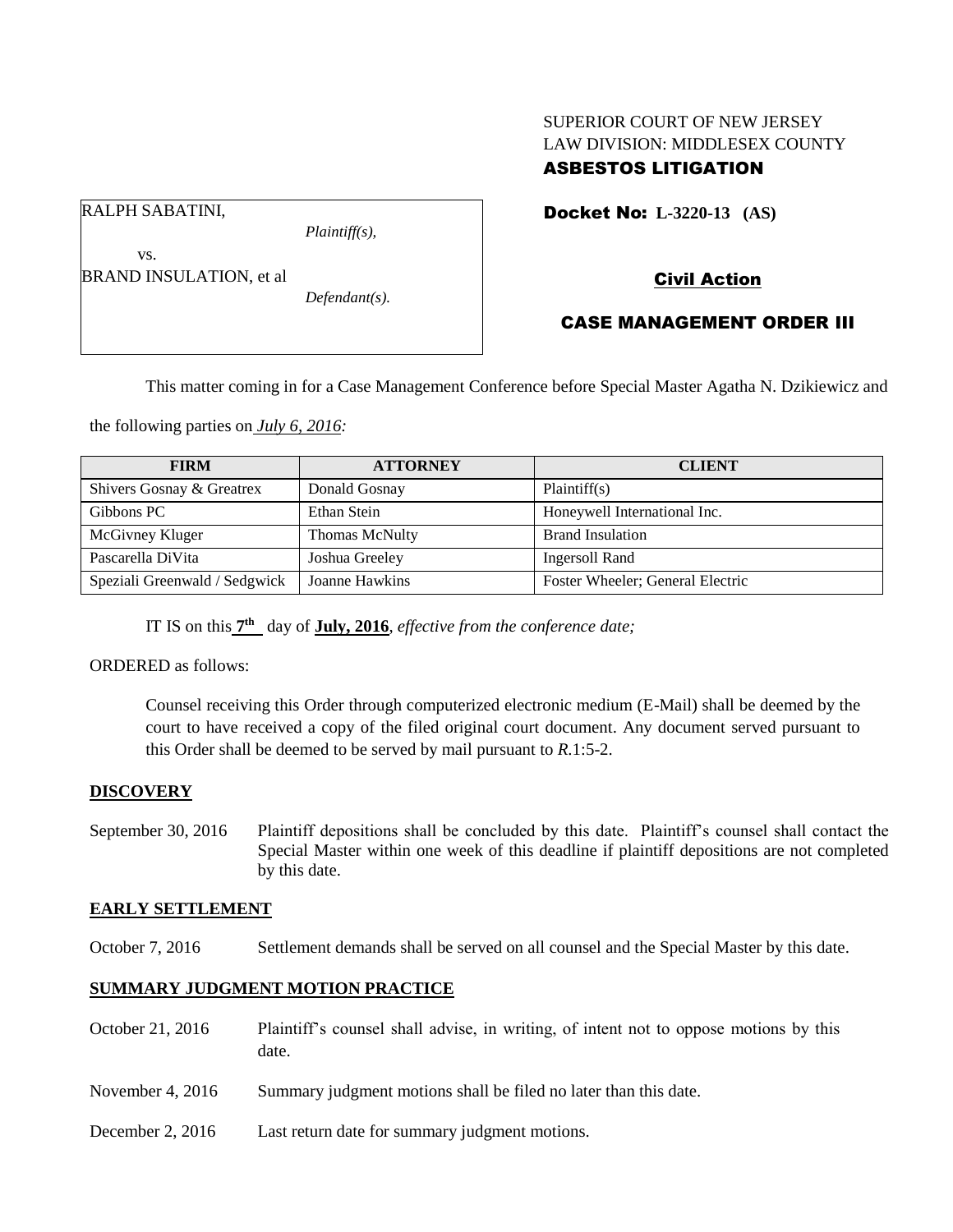# SUPERIOR COURT OF NEW JERSEY LAW DIVISION: MIDDLESEX COUNTY ASBESTOS LITIGATION

Docket No: **L-3220-13 (AS)** 

RALPH SABATINI,

*Plaintiff(s),*

# Civil Action

vs. BRAND INSULATION, et al

*Defendant(s).*

CASE MANAGEMENT ORDER III

This matter coming in for a Case Management Conference before Special Master Agatha N. Dzikiewicz and

the following parties on *July 6, 2016:*

| <b>FIRM</b>                   | <b>ATTORNEY</b>       | <b>CLIENT</b>                    |
|-------------------------------|-----------------------|----------------------------------|
| Shivers Gosnay & Greatrex     | Donald Gosnay         | Plaintiff(s)                     |
| Gibbons PC                    | Ethan Stein           | Honeywell International Inc.     |
| McGivney Kluger               | <b>Thomas McNulty</b> | <b>Brand Insulation</b>          |
| Pascarella DiVita             | Joshua Greeley        | <b>Ingersoll Rand</b>            |
| Speziali Greenwald / Sedgwick | Joanne Hawkins        | Foster Wheeler; General Electric |

IT IS on this  $7<sup>th</sup>$  day of **July, 2016**, *effective from the conference date*;

ORDERED as follows:

Counsel receiving this Order through computerized electronic medium (E-Mail) shall be deemed by the court to have received a copy of the filed original court document. Any document served pursuant to this Order shall be deemed to be served by mail pursuant to *R*.1:5-2.

## **DISCOVERY**

September 30, 2016 Plaintiff depositions shall be concluded by this date. Plaintiff's counsel shall contact the Special Master within one week of this deadline if plaintiff depositions are not completed by this date.

### **EARLY SETTLEMENT**

October 7, 2016 Settlement demands shall be served on all counsel and the Special Master by this date.

## **SUMMARY JUDGMENT MOTION PRACTICE**

- October 21, 2016 Plaintiff's counsel shall advise, in writing, of intent not to oppose motions by this date.
- November 4, 2016 Summary judgment motions shall be filed no later than this date.
- December 2, 2016 Last return date for summary judgment motions.